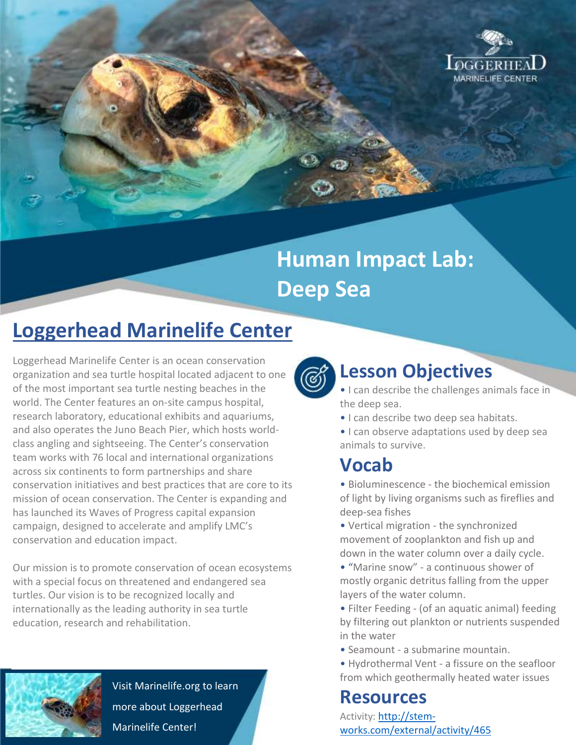

# **Human Impact Lab: Deep Sea**

## **Loggerhead Marinelife Center**

Loggerhead Marinelife Center is an ocean conservation organization and sea turtle hospital located adjacent to one of the most important sea turtle nesting beaches in the world. The Center features an on-site campus hospital, research laboratory, educational exhibits and aquariums, and also operates the Juno Beach Pier, which hosts worldclass angling and sightseeing. The Center's conservation team works with 76 local and international organizations across six continents to form partnerships and share conservation initiatives and best practices that are core to its mission of ocean conservation. The Center is expanding and has launched its Waves of Progress capital expansion campaign, designed to accelerate and amplify LMC's conservation and education impact.

Our mission is to promote conservation of ocean ecosystems with a special focus on threatened and endangered sea turtles. Our vision is to be recognized locally and internationally as the leading authority in sea turtle education, research and rehabilitation.



Visit Marinelife.org to learn more about Loggerhead Marinelife Center!



### **Lesson Objectives**

• I can describe the challenges animals face in the deep sea.

- I can describe two deep sea habitats.
- I can observe adaptations used by deep sea animals to survive.

### **Vocab**

• Bioluminescence - the biochemical emission of light by living organisms such as fireflies and deep-sea fishes

• Vertical migration - the synchronized movement of zooplankton and fish up and down in the water column over a daily cycle.

- "Marine snow" a continuous shower of mostly organic detritus falling from the upper layers of the water column.
- Filter Feeding (of an aquatic animal) feeding by filtering out plankton or nutrients suspended in the water
- Seamount a submarine mountain.
- Hydrothermal Vent a fissure on the seafloor from which geothermally heated water issues

#### **Resources**

Activity: [http://stem](http://stem-works.com/external/activity/465)[works.com/external/activity/465](http://stem-works.com/external/activity/465)